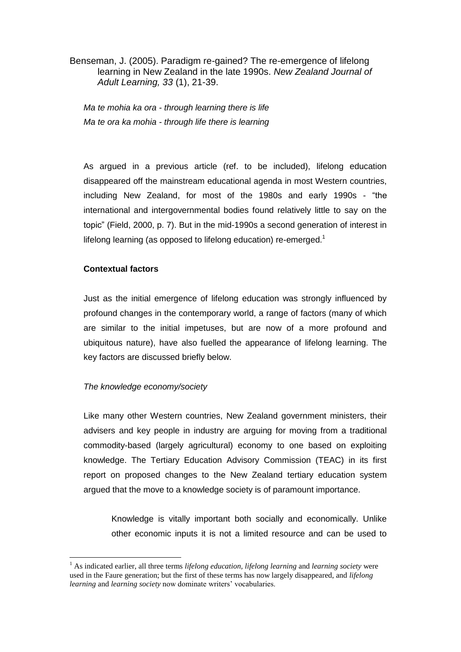Benseman, J. (2005). Paradigm re-gained? The re-emergence of lifelong learning in New Zealand in the late 1990s. *New Zealand Journal of Adult Learning, 33* (1), 21-39.

*Ma te mohia ka ora - through learning there is life Ma te ora ka mohia - through life there is learning*

As argued in a previous article (ref. to be included), lifelong education disappeared off the mainstream educational agenda in most Western countries, including New Zealand, for most of the 1980s and early 1990s - "the international and intergovernmental bodies found relatively little to say on the topic" (Field, 2000, p. 7). But in the mid-1990s a second generation of interest in lifelong learning (as opposed to lifelong education) re-emerged.<sup>1</sup>

# **Contextual factors**

1

Just as the initial emergence of lifelong education was strongly influenced by profound changes in the contemporary world, a range of factors (many of which are similar to the initial impetuses, but are now of a more profound and ubiquitous nature), have also fuelled the appearance of lifelong learning. The key factors are discussed briefly below.

# *The knowledge economy/society*

Like many other Western countries, New Zealand government ministers, their advisers and key people in industry are arguing for moving from a traditional commodity-based (largely agricultural) economy to one based on exploiting knowledge. The Tertiary Education Advisory Commission (TEAC) in its first report on proposed changes to the New Zealand tertiary education system argued that the move to a knowledge society is of paramount importance.

Knowledge is vitally important both socially and economically. Unlike other economic inputs it is not a limited resource and can be used to

<sup>1</sup> As indicated earlier, all three terms *lifelong education, lifelong learning* and *learning society* were used in the Faure generation; but the first of these terms has now largely disappeared, and *lifelong learning* and *learning society* now dominate writers' vocabularies.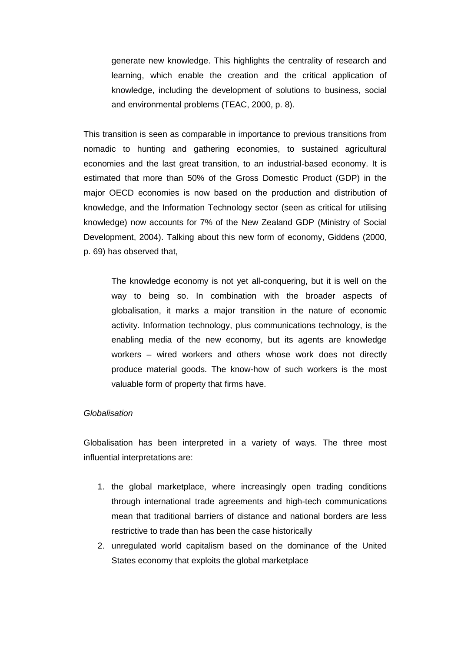generate new knowledge. This highlights the centrality of research and learning, which enable the creation and the critical application of knowledge, including the development of solutions to business, social and environmental problems (TEAC, 2000, p. 8).

This transition is seen as comparable in importance to previous transitions from nomadic to hunting and gathering economies, to sustained agricultural economies and the last great transition, to an industrial-based economy. It is estimated that more than 50% of the Gross Domestic Product (GDP) in the major OECD economies is now based on the production and distribution of knowledge, and the Information Technology sector (seen as critical for utilising knowledge) now accounts for 7% of the New Zealand GDP (Ministry of Social Development, 2004). Talking about this new form of economy, Giddens (2000, p. 69) has observed that,

The knowledge economy is not yet all-conquering, but it is well on the way to being so. In combination with the broader aspects of globalisation, it marks a major transition in the nature of economic activity. Information technology, plus communications technology, is the enabling media of the new economy, but its agents are knowledge workers – wired workers and others whose work does not directly produce material goods. The know-how of such workers is the most valuable form of property that firms have.

#### *Globalisation*

Globalisation has been interpreted in a variety of ways. The three most influential interpretations are:

- 1. the global marketplace, where increasingly open trading conditions through international trade agreements and high-tech communications mean that traditional barriers of distance and national borders are less restrictive to trade than has been the case historically
- 2. unregulated world capitalism based on the dominance of the United States economy that exploits the global marketplace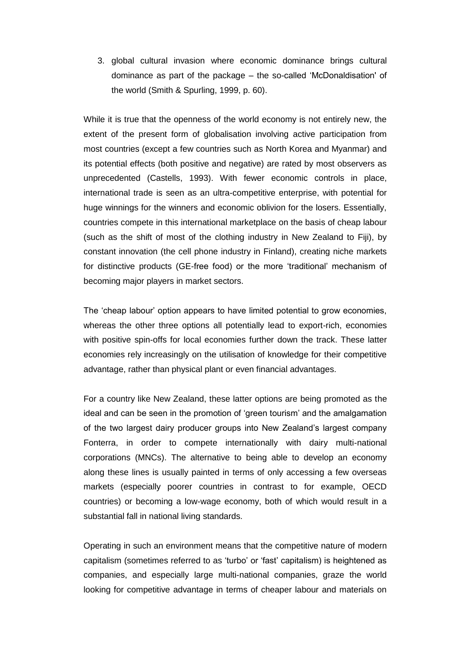3. global cultural invasion where economic dominance brings cultural dominance as part of the package – the so-called 'McDonaldisation' of the world (Smith & Spurling, 1999, p. 60).

While it is true that the openness of the world economy is not entirely new, the extent of the present form of globalisation involving active participation from most countries (except a few countries such as North Korea and Myanmar) and its potential effects (both positive and negative) are rated by most observers as unprecedented (Castells, 1993). With fewer economic controls in place, international trade is seen as an ultra-competitive enterprise, with potential for huge winnings for the winners and economic oblivion for the losers. Essentially, countries compete in this international marketplace on the basis of cheap labour (such as the shift of most of the clothing industry in New Zealand to Fiji), by constant innovation (the cell phone industry in Finland), creating niche markets for distinctive products (GE-free food) or the more 'traditional' mechanism of becoming major players in market sectors.

The 'cheap labour' option appears to have limited potential to grow economies, whereas the other three options all potentially lead to export-rich, economies with positive spin-offs for local economies further down the track. These latter economies rely increasingly on the utilisation of knowledge for their competitive advantage, rather than physical plant or even financial advantages.

For a country like New Zealand, these latter options are being promoted as the ideal and can be seen in the promotion of 'green tourism' and the amalgamation of the two largest dairy producer groups into New Zealand's largest company Fonterra, in order to compete internationally with dairy multi-national corporations (MNCs). The alternative to being able to develop an economy along these lines is usually painted in terms of only accessing a few overseas markets (especially poorer countries in contrast to for example, OECD countries) or becoming a low-wage economy, both of which would result in a substantial fall in national living standards.

Operating in such an environment means that the competitive nature of modern capitalism (sometimes referred to as 'turbo' or 'fast' capitalism) is heightened as companies, and especially large multi-national companies, graze the world looking for competitive advantage in terms of cheaper labour and materials on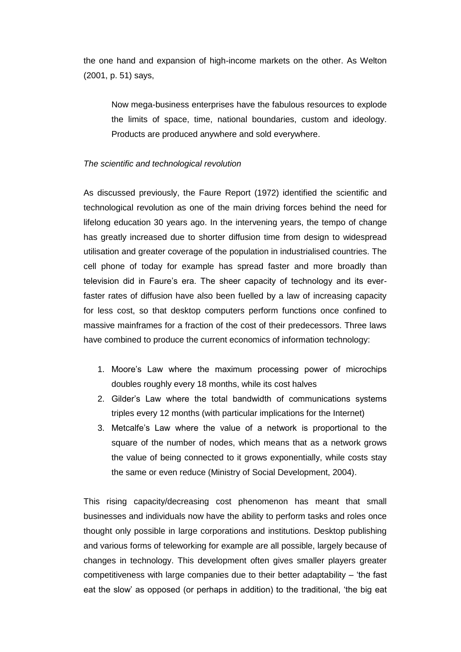the one hand and expansion of high-income markets on the other. As Welton (2001, p. 51) says,

Now mega-business enterprises have the fabulous resources to explode the limits of space, time, national boundaries, custom and ideology. Products are produced anywhere and sold everywhere.

### *The scientific and technological revolution*

As discussed previously, the Faure Report (1972) identified the scientific and technological revolution as one of the main driving forces behind the need for lifelong education 30 years ago. In the intervening years, the tempo of change has greatly increased due to shorter diffusion time from design to widespread utilisation and greater coverage of the population in industrialised countries. The cell phone of today for example has spread faster and more broadly than television did in Faure's era. The sheer capacity of technology and its everfaster rates of diffusion have also been fuelled by a law of increasing capacity for less cost, so that desktop computers perform functions once confined to massive mainframes for a fraction of the cost of their predecessors. Three laws have combined to produce the current economics of information technology:

- 1. Moore's Law where the maximum processing power of microchips doubles roughly every 18 months, while its cost halves
- 2. Gilder's Law where the total bandwidth of communications systems triples every 12 months (with particular implications for the Internet)
- 3. Metcalfe's Law where the value of a network is proportional to the square of the number of nodes, which means that as a network grows the value of being connected to it grows exponentially, while costs stay the same or even reduce (Ministry of Social Development, 2004).

This rising capacity/decreasing cost phenomenon has meant that small businesses and individuals now have the ability to perform tasks and roles once thought only possible in large corporations and institutions. Desktop publishing and various forms of teleworking for example are all possible, largely because of changes in technology. This development often gives smaller players greater competitiveness with large companies due to their better adaptability – 'the fast eat the slow' as opposed (or perhaps in addition) to the traditional, 'the big eat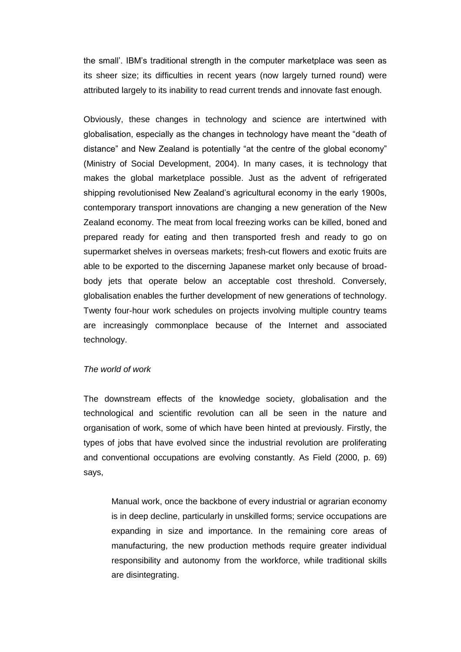the small'. IBM's traditional strength in the computer marketplace was seen as its sheer size; its difficulties in recent years (now largely turned round) were attributed largely to its inability to read current trends and innovate fast enough.

Obviously, these changes in technology and science are intertwined with globalisation, especially as the changes in technology have meant the "death of distance" and New Zealand is potentially "at the centre of the global economy" (Ministry of Social Development, 2004). In many cases, it is technology that makes the global marketplace possible. Just as the advent of refrigerated shipping revolutionised New Zealand's agricultural economy in the early 1900s, contemporary transport innovations are changing a new generation of the New Zealand economy. The meat from local freezing works can be killed, boned and prepared ready for eating and then transported fresh and ready to go on supermarket shelves in overseas markets; fresh-cut flowers and exotic fruits are able to be exported to the discerning Japanese market only because of broadbody jets that operate below an acceptable cost threshold. Conversely, globalisation enables the further development of new generations of technology. Twenty four-hour work schedules on projects involving multiple country teams are increasingly commonplace because of the Internet and associated technology.

### *The world of work*

The downstream effects of the knowledge society, globalisation and the technological and scientific revolution can all be seen in the nature and organisation of work, some of which have been hinted at previously. Firstly, the types of jobs that have evolved since the industrial revolution are proliferating and conventional occupations are evolving constantly. As Field (2000, p. 69) says,

Manual work, once the backbone of every industrial or agrarian economy is in deep decline, particularly in unskilled forms; service occupations are expanding in size and importance. In the remaining core areas of manufacturing, the new production methods require greater individual responsibility and autonomy from the workforce, while traditional skills are disintegrating.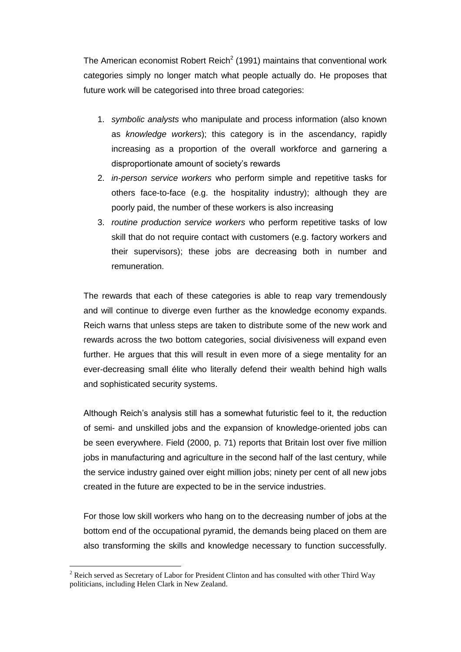The American economist Robert Reich<sup>2</sup> (1991) maintains that conventional work categories simply no longer match what people actually do. He proposes that future work will be categorised into three broad categories:

- 1. *symbolic analysts* who manipulate and process information (also known as *knowledge workers*); this category is in the ascendancy, rapidly increasing as a proportion of the overall workforce and garnering a disproportionate amount of society's rewards
- 2. *in-person service workers* who perform simple and repetitive tasks for others face-to-face (e.g. the hospitality industry); although they are poorly paid, the number of these workers is also increasing
- 3. *routine production service workers* who perform repetitive tasks of low skill that do not require contact with customers (e.g. factory workers and their supervisors); these jobs are decreasing both in number and remuneration.

The rewards that each of these categories is able to reap vary tremendously and will continue to diverge even further as the knowledge economy expands. Reich warns that unless steps are taken to distribute some of the new work and rewards across the two bottom categories, social divisiveness will expand even further. He argues that this will result in even more of a siege mentality for an ever-decreasing small élite who literally defend their wealth behind high walls and sophisticated security systems.

Although Reich's analysis still has a somewhat futuristic feel to it, the reduction of semi- and unskilled jobs and the expansion of knowledge-oriented jobs can be seen everywhere. Field (2000, p. 71) reports that Britain lost over five million jobs in manufacturing and agriculture in the second half of the last century, while the service industry gained over eight million jobs; ninety per cent of all new jobs created in the future are expected to be in the service industries.

For those low skill workers who hang on to the decreasing number of jobs at the bottom end of the occupational pyramid, the demands being placed on them are also transforming the skills and knowledge necessary to function successfully.

1

<sup>2</sup> Reich served as Secretary of Labor for President Clinton and has consulted with other Third Way politicians, including Helen Clark in New Zealand.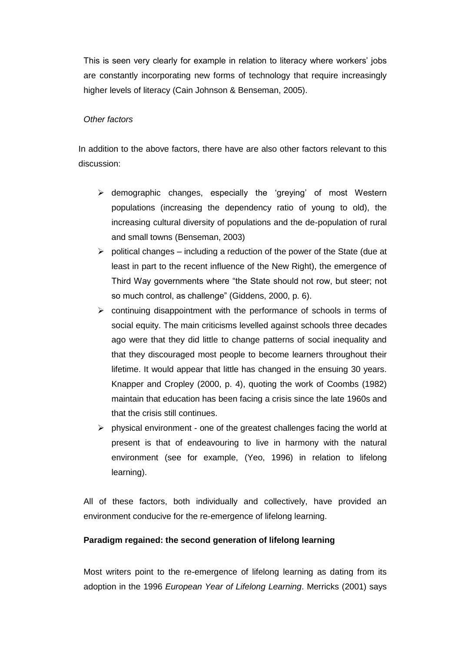This is seen very clearly for example in relation to literacy where workers' jobs are constantly incorporating new forms of technology that require increasingly higher levels of literacy (Cain Johnson & Benseman, 2005).

## *Other factors*

In addition to the above factors, there have are also other factors relevant to this discussion:

- $\triangleright$  demographic changes, especially the 'greying' of most Western populations (increasing the dependency ratio of young to old), the increasing cultural diversity of populations and the de-population of rural and small towns (Benseman, 2003)
- $\triangleright$  political changes including a reduction of the power of the State (due at least in part to the recent influence of the New Right), the emergence of Third Way governments where "the State should not row, but steer; not so much control, as challenge" (Giddens, 2000, p. 6).
- $\triangleright$  continuing disappointment with the performance of schools in terms of social equity. The main criticisms levelled against schools three decades ago were that they did little to change patterns of social inequality and that they discouraged most people to become learners throughout their lifetime. It would appear that little has changed in the ensuing 30 years. Knapper and Cropley (2000, p. 4), quoting the work of Coombs (1982) maintain that education has been facing a crisis since the late 1960s and that the crisis still continues.
- $\triangleright$  physical environment one of the greatest challenges facing the world at present is that of endeavouring to live in harmony with the natural environment (see for example, (Yeo, 1996) in relation to lifelong learning).

All of these factors, both individually and collectively, have provided an environment conducive for the re-emergence of lifelong learning.

## **Paradigm regained: the second generation of lifelong learning**

Most writers point to the re-emergence of lifelong learning as dating from its adoption in the 1996 *European Year of Lifelong Learning*. Merricks (2001) says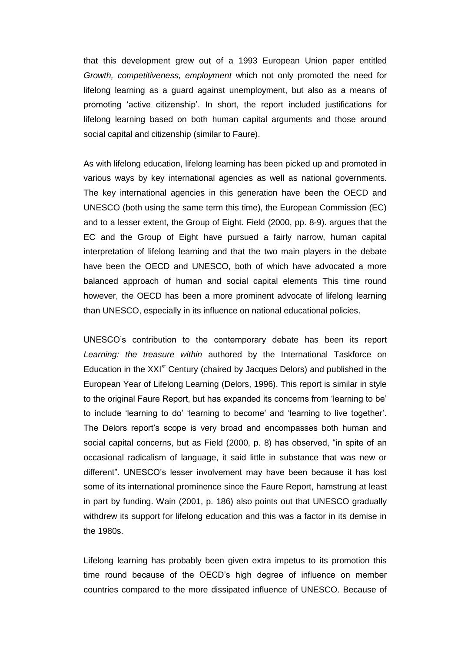that this development grew out of a 1993 European Union paper entitled *Growth, competitiveness, employment* which not only promoted the need for lifelong learning as a guard against unemployment, but also as a means of promoting 'active citizenship'. In short, the report included justifications for lifelong learning based on both human capital arguments and those around social capital and citizenship (similar to Faure).

As with lifelong education, lifelong learning has been picked up and promoted in various ways by key international agencies as well as national governments. The key international agencies in this generation have been the OECD and UNESCO (both using the same term this time), the European Commission (EC) and to a lesser extent, the Group of Eight. Field (2000, pp. 8-9). argues that the EC and the Group of Eight have pursued a fairly narrow, human capital interpretation of lifelong learning and that the two main players in the debate have been the OECD and UNESCO, both of which have advocated a more balanced approach of human and social capital elements This time round however, the OECD has been a more prominent advocate of lifelong learning than UNESCO, especially in its influence on national educational policies.

UNESCO's contribution to the contemporary debate has been its report *Learning: the treasure within* authored by the International Taskforce on Education in the XXI<sup>st</sup> Century (chaired by Jacques Delors) and published in the European Year of Lifelong Learning (Delors, 1996). This report is similar in style to the original Faure Report, but has expanded its concerns from 'learning to be' to include 'learning to do' 'learning to become' and 'learning to live together'. The Delors report's scope is very broad and encompasses both human and social capital concerns, but as Field (2000, p. 8) has observed, "in spite of an occasional radicalism of language, it said little in substance that was new or different". UNESCO's lesser involvement may have been because it has lost some of its international prominence since the Faure Report, hamstrung at least in part by funding. Wain (2001, p. 186) also points out that UNESCO gradually withdrew its support for lifelong education and this was a factor in its demise in the 1980s.

Lifelong learning has probably been given extra impetus to its promotion this time round because of the OECD's high degree of influence on member countries compared to the more dissipated influence of UNESCO. Because of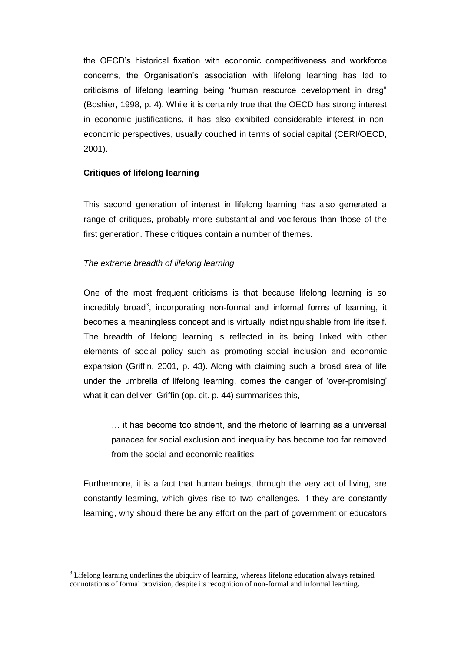the OECD's historical fixation with economic competitiveness and workforce concerns, the Organisation's association with lifelong learning has led to criticisms of lifelong learning being "human resource development in drag" (Boshier, 1998, p. 4). While it is certainly true that the OECD has strong interest in economic justifications, it has also exhibited considerable interest in noneconomic perspectives, usually couched in terms of social capital (CERI/OECD, 2001).

## **Critiques of lifelong learning**

This second generation of interest in lifelong learning has also generated a range of critiques, probably more substantial and vociferous than those of the first generation. These critiques contain a number of themes.

## *The extreme breadth of lifelong learning*

1

One of the most frequent criticisms is that because lifelong learning is so incredibly broad<sup>3</sup>, incorporating non-formal and informal forms of learning, it becomes a meaningless concept and is virtually indistinguishable from life itself. The breadth of lifelong learning is reflected in its being linked with other elements of social policy such as promoting social inclusion and economic expansion (Griffin, 2001, p. 43). Along with claiming such a broad area of life under the umbrella of lifelong learning, comes the danger of 'over-promising' what it can deliver. Griffin (op. cit. p. 44) summarises this,

… it has become too strident, and the rhetoric of learning as a universal panacea for social exclusion and inequality has become too far removed from the social and economic realities.

Furthermore, it is a fact that human beings, through the very act of living, are constantly learning, which gives rise to two challenges. If they are constantly learning, why should there be any effort on the part of government or educators

 $3$  Lifelong learning underlines the ubiquity of learning, whereas lifelong education always retained connotations of formal provision, despite its recognition of non-formal and informal learning.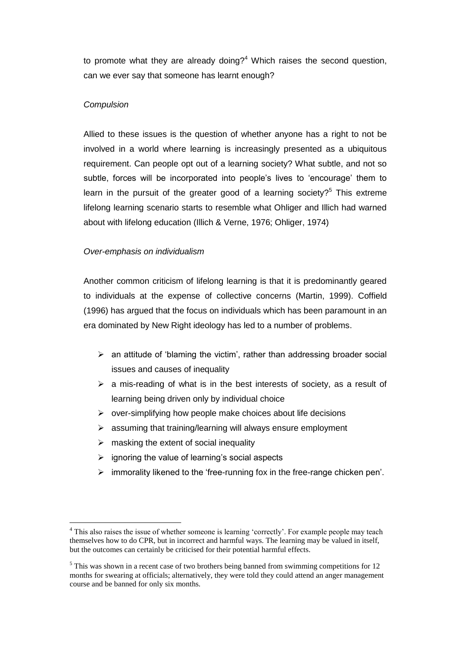to promote what they are already doing? $4$  Which raises the second question, can we ever say that someone has learnt enough?

## *Compulsion*

1

Allied to these issues is the question of whether anyone has a right to not be involved in a world where learning is increasingly presented as a ubiquitous requirement. Can people opt out of a learning society? What subtle, and not so subtle, forces will be incorporated into people's lives to 'encourage' them to learn in the pursuit of the greater good of a learning society?<sup>5</sup> This extreme lifelong learning scenario starts to resemble what Ohliger and Illich had warned about with lifelong education (Illich & Verne, 1976; Ohliger, 1974)

### *Over-emphasis on individualism*

Another common criticism of lifelong learning is that it is predominantly geared to individuals at the expense of collective concerns (Martin, 1999). Coffield (1996) has argued that the focus on individuals which has been paramount in an era dominated by New Right ideology has led to a number of problems.

- $\triangleright$  an attitude of 'blaming the victim', rather than addressing broader social issues and causes of inequality
- $\triangleright$  a mis-reading of what is in the best interests of society, as a result of learning being driven only by individual choice
- $\triangleright$  over-simplifying how people make choices about life decisions
- $\triangleright$  assuming that training/learning will always ensure employment
- $\triangleright$  masking the extent of social inequality
- $\triangleright$  ignoring the value of learning's social aspects
- $\triangleright$  immorality likened to the 'free-running fox in the free-range chicken pen'.

<sup>&</sup>lt;sup>4</sup> This also raises the issue of whether someone is learning 'correctly'. For example people may teach themselves how to do CPR, but in incorrect and harmful ways. The learning may be valued in itself, but the outcomes can certainly be criticised for their potential harmful effects.

<sup>&</sup>lt;sup>5</sup> This was shown in a recent case of two brothers being banned from swimming competitions for 12 months for swearing at officials; alternatively, they were told they could attend an anger management course and be banned for only six months.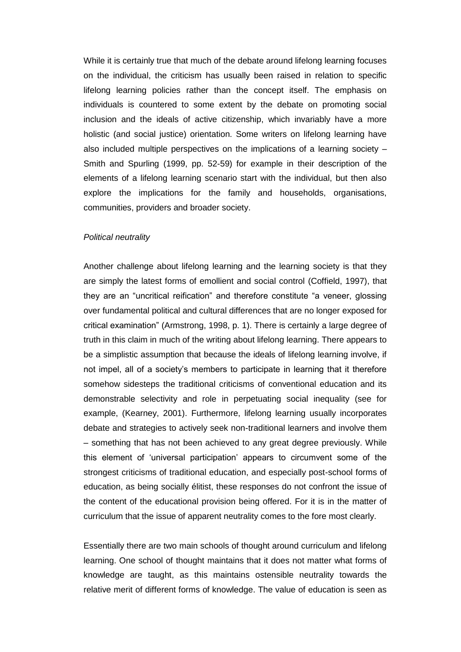While it is certainly true that much of the debate around lifelong learning focuses on the individual, the criticism has usually been raised in relation to specific lifelong learning policies rather than the concept itself. The emphasis on individuals is countered to some extent by the debate on promoting social inclusion and the ideals of active citizenship, which invariably have a more holistic (and social justice) orientation. Some writers on lifelong learning have also included multiple perspectives on the implications of a learning society – Smith and Spurling (1999, pp. 52-59) for example in their description of the elements of a lifelong learning scenario start with the individual, but then also explore the implications for the family and households, organisations, communities, providers and broader society.

#### *Political neutrality*

Another challenge about lifelong learning and the learning society is that they are simply the latest forms of emollient and social control (Coffield, 1997), that they are an "uncritical reification" and therefore constitute "a veneer, glossing over fundamental political and cultural differences that are no longer exposed for critical examination" (Armstrong, 1998, p. 1). There is certainly a large degree of truth in this claim in much of the writing about lifelong learning. There appears to be a simplistic assumption that because the ideals of lifelong learning involve, if not impel, all of a society's members to participate in learning that it therefore somehow sidesteps the traditional criticisms of conventional education and its demonstrable selectivity and role in perpetuating social inequality (see for example, (Kearney, 2001). Furthermore, lifelong learning usually incorporates debate and strategies to actively seek non-traditional learners and involve them – something that has not been achieved to any great degree previously. While this element of 'universal participation' appears to circumvent some of the strongest criticisms of traditional education, and especially post-school forms of education, as being socially élitist, these responses do not confront the issue of the content of the educational provision being offered. For it is in the matter of curriculum that the issue of apparent neutrality comes to the fore most clearly.

Essentially there are two main schools of thought around curriculum and lifelong learning. One school of thought maintains that it does not matter what forms of knowledge are taught, as this maintains ostensible neutrality towards the relative merit of different forms of knowledge. The value of education is seen as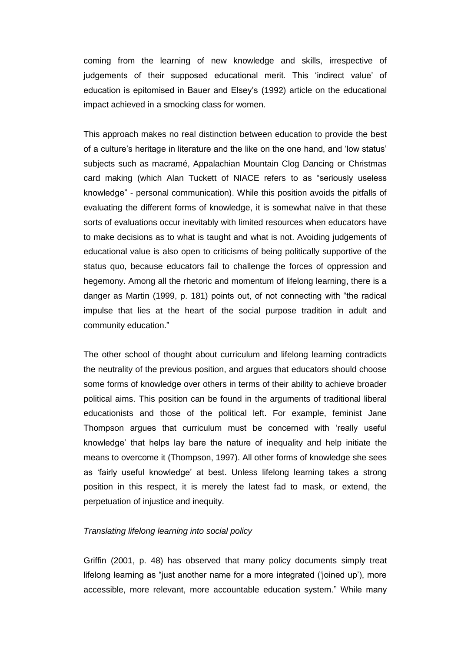coming from the learning of new knowledge and skills, irrespective of judgements of their supposed educational merit. This 'indirect value' of education is epitomised in Bauer and Elsey's (1992) article on the educational impact achieved in a smocking class for women.

This approach makes no real distinction between education to provide the best of a culture's heritage in literature and the like on the one hand, and 'low status' subjects such as macramé, Appalachian Mountain Clog Dancing or Christmas card making (which Alan Tuckett of NIACE refers to as "seriously useless knowledge" - personal communication). While this position avoids the pitfalls of evaluating the different forms of knowledge, it is somewhat naïve in that these sorts of evaluations occur inevitably with limited resources when educators have to make decisions as to what is taught and what is not. Avoiding judgements of educational value is also open to criticisms of being politically supportive of the status quo, because educators fail to challenge the forces of oppression and hegemony. Among all the rhetoric and momentum of lifelong learning, there is a danger as Martin (1999, p. 181) points out, of not connecting with "the radical impulse that lies at the heart of the social purpose tradition in adult and community education."

The other school of thought about curriculum and lifelong learning contradicts the neutrality of the previous position, and argues that educators should choose some forms of knowledge over others in terms of their ability to achieve broader political aims. This position can be found in the arguments of traditional liberal educationists and those of the political left. For example, feminist Jane Thompson argues that curriculum must be concerned with 'really useful knowledge' that helps lay bare the nature of inequality and help initiate the means to overcome it (Thompson, 1997). All other forms of knowledge she sees as 'fairly useful knowledge' at best. Unless lifelong learning takes a strong position in this respect, it is merely the latest fad to mask, or extend, the perpetuation of injustice and inequity.

## *Translating lifelong learning into social policy*

Griffin (2001, p. 48) has observed that many policy documents simply treat lifelong learning as "just another name for a more integrated ('joined up'), more accessible, more relevant, more accountable education system." While many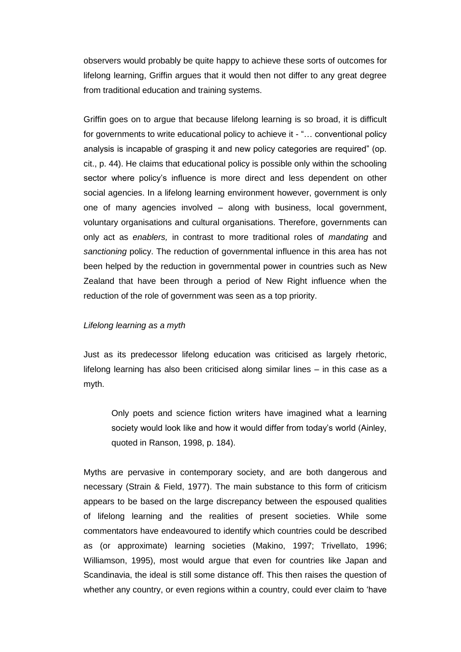observers would probably be quite happy to achieve these sorts of outcomes for lifelong learning, Griffin argues that it would then not differ to any great degree from traditional education and training systems.

Griffin goes on to argue that because lifelong learning is so broad, it is difficult for governments to write educational policy to achieve it - "… conventional policy analysis is incapable of grasping it and new policy categories are required" (op. cit., p. 44). He claims that educational policy is possible only within the schooling sector where policy's influence is more direct and less dependent on other social agencies. In a lifelong learning environment however, government is only one of many agencies involved – along with business, local government, voluntary organisations and cultural organisations. Therefore, governments can only act as *enablers,* in contrast to more traditional roles of *mandating* and *sanctioning* policy. The reduction of governmental influence in this area has not been helped by the reduction in governmental power in countries such as New Zealand that have been through a period of New Right influence when the reduction of the role of government was seen as a top priority.

### *Lifelong learning as a myth*

Just as its predecessor lifelong education was criticised as largely rhetoric, lifelong learning has also been criticised along similar lines – in this case as a myth.

Only poets and science fiction writers have imagined what a learning society would look like and how it would differ from today's world (Ainley, quoted in Ranson, 1998, p. 184).

Myths are pervasive in contemporary society, and are both dangerous and necessary (Strain & Field, 1977). The main substance to this form of criticism appears to be based on the large discrepancy between the espoused qualities of lifelong learning and the realities of present societies. While some commentators have endeavoured to identify which countries could be described as (or approximate) learning societies (Makino, 1997; Trivellato, 1996; Williamson, 1995), most would argue that even for countries like Japan and Scandinavia, the ideal is still some distance off. This then raises the question of whether any country, or even regions within a country, could ever claim to 'have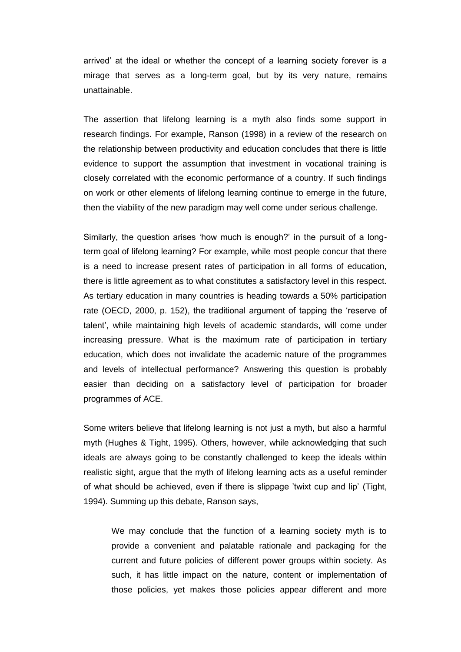arrived' at the ideal or whether the concept of a learning society forever is a mirage that serves as a long-term goal, but by its very nature, remains unattainable.

The assertion that lifelong learning is a myth also finds some support in research findings. For example, Ranson (1998) in a review of the research on the relationship between productivity and education concludes that there is little evidence to support the assumption that investment in vocational training is closely correlated with the economic performance of a country. If such findings on work or other elements of lifelong learning continue to emerge in the future, then the viability of the new paradigm may well come under serious challenge.

Similarly, the question arises 'how much is enough?' in the pursuit of a longterm goal of lifelong learning? For example, while most people concur that there is a need to increase present rates of participation in all forms of education, there is little agreement as to what constitutes a satisfactory level in this respect. As tertiary education in many countries is heading towards a 50% participation rate (OECD, 2000, p. 152), the traditional argument of tapping the 'reserve of talent', while maintaining high levels of academic standards, will come under increasing pressure. What is the maximum rate of participation in tertiary education, which does not invalidate the academic nature of the programmes and levels of intellectual performance? Answering this question is probably easier than deciding on a satisfactory level of participation for broader programmes of ACE.

Some writers believe that lifelong learning is not just a myth, but also a harmful myth (Hughes & Tight, 1995). Others, however, while acknowledging that such ideals are always going to be constantly challenged to keep the ideals within realistic sight, argue that the myth of lifelong learning acts as a useful reminder of what should be achieved, even if there is slippage 'twixt cup and lip' (Tight, 1994). Summing up this debate, Ranson says,

We may conclude that the function of a learning society myth is to provide a convenient and palatable rationale and packaging for the current and future policies of different power groups within society. As such, it has little impact on the nature, content or implementation of those policies, yet makes those policies appear different and more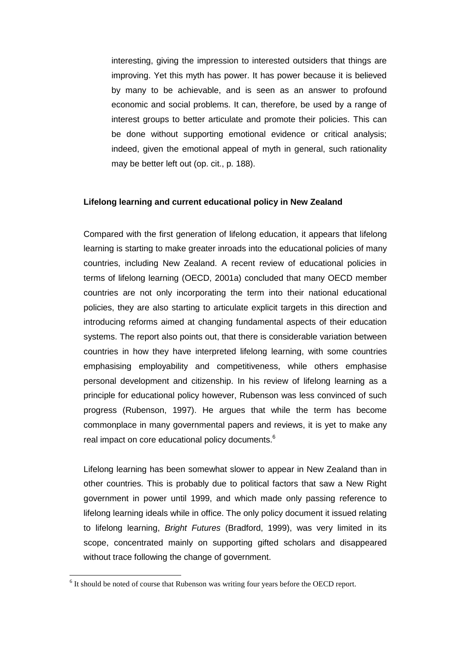interesting, giving the impression to interested outsiders that things are improving. Yet this myth has power. It has power because it is believed by many to be achievable, and is seen as an answer to profound economic and social problems. It can, therefore, be used by a range of interest groups to better articulate and promote their policies. This can be done without supporting emotional evidence or critical analysis; indeed, given the emotional appeal of myth in general, such rationality may be better left out (op. cit., p. 188).

### **Lifelong learning and current educational policy in New Zealand**

Compared with the first generation of lifelong education, it appears that lifelong learning is starting to make greater inroads into the educational policies of many countries, including New Zealand. A recent review of educational policies in terms of lifelong learning (OECD, 2001a) concluded that many OECD member countries are not only incorporating the term into their national educational policies, they are also starting to articulate explicit targets in this direction and introducing reforms aimed at changing fundamental aspects of their education systems. The report also points out, that there is considerable variation between countries in how they have interpreted lifelong learning, with some countries emphasising employability and competitiveness, while others emphasise personal development and citizenship. In his review of lifelong learning as a principle for educational policy however, Rubenson was less convinced of such progress (Rubenson, 1997). He argues that while the term has become commonplace in many governmental papers and reviews, it is yet to make any real impact on core educational policy documents.<sup>6</sup>

Lifelong learning has been somewhat slower to appear in New Zealand than in other countries. This is probably due to political factors that saw a New Right government in power until 1999, and which made only passing reference to lifelong learning ideals while in office. The only policy document it issued relating to lifelong learning, *Bright Futures* (Bradford, 1999), was very limited in its scope, concentrated mainly on supporting gifted scholars and disappeared without trace following the change of government.

<u>.</u>

<sup>&</sup>lt;sup>6</sup> It should be noted of course that Rubenson was writing four years before the OECD report.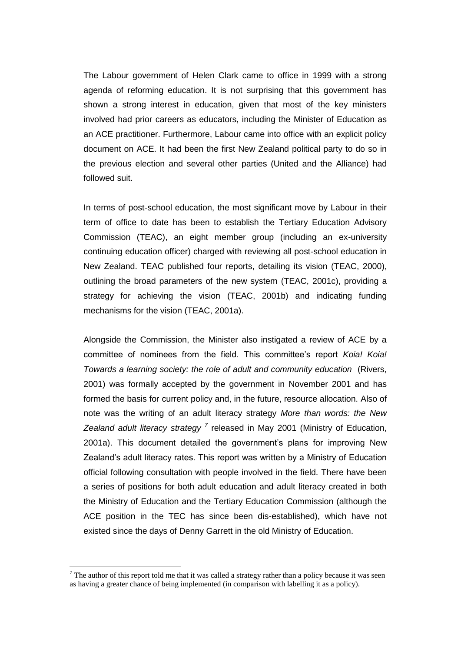The Labour government of Helen Clark came to office in 1999 with a strong agenda of reforming education. It is not surprising that this government has shown a strong interest in education, given that most of the key ministers involved had prior careers as educators, including the Minister of Education as an ACE practitioner. Furthermore, Labour came into office with an explicit policy document on ACE. It had been the first New Zealand political party to do so in the previous election and several other parties (United and the Alliance) had followed suit.

In terms of post-school education, the most significant move by Labour in their term of office to date has been to establish the Tertiary Education Advisory Commission (TEAC), an eight member group (including an ex-university continuing education officer) charged with reviewing all post-school education in New Zealand. TEAC published four reports, detailing its vision (TEAC, 2000), outlining the broad parameters of the new system (TEAC, 2001c), providing a strategy for achieving the vision (TEAC, 2001b) and indicating funding mechanisms for the vision (TEAC, 2001a).

Alongside the Commission, the Minister also instigated a review of ACE by a committee of nominees from the field. This committee's report *Koia! Koia! Towards a learning society: the role of adult and community education* (Rivers, 2001) was formally accepted by the government in November 2001 and has formed the basis for current policy and, in the future, resource allocation. Also of note was the writing of an adult literacy strategy *More than words: the New Zealand adult literacy strategy <sup>7</sup>* released in May 2001 (Ministry of Education, 2001a). This document detailed the government's plans for improving New Zealand's adult literacy rates. This report was written by a Ministry of Education official following consultation with people involved in the field. There have been a series of positions for both adult education and adult literacy created in both the Ministry of Education and the Tertiary Education Commission (although the ACE position in the TEC has since been dis-established), which have not existed since the days of Denny Garrett in the old Ministry of Education.

1

 $7$  The author of this report told me that it was called a strategy rather than a policy because it was seen as having a greater chance of being implemented (in comparison with labelling it as a policy).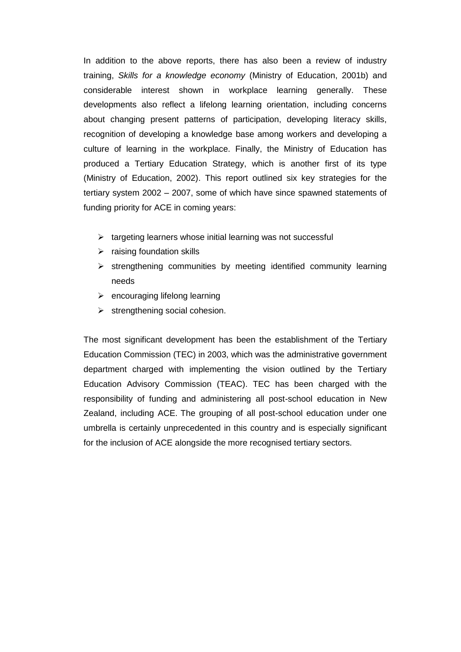In addition to the above reports, there has also been a review of industry training, *Skills for a knowledge economy* (Ministry of Education, 2001b) and considerable interest shown in workplace learning generally. These developments also reflect a lifelong learning orientation, including concerns about changing present patterns of participation, developing literacy skills, recognition of developing a knowledge base among workers and developing a culture of learning in the workplace. Finally, the Ministry of Education has produced a Tertiary Education Strategy, which is another first of its type (Ministry of Education, 2002). This report outlined six key strategies for the tertiary system 2002 – 2007, some of which have since spawned statements of funding priority for ACE in coming years:

- $\triangleright$  targeting learners whose initial learning was not successful
- $\triangleright$  raising foundation skills
- $\triangleright$  strengthening communities by meeting identified community learning needs
- $\triangleright$  encouraging lifelong learning
- $\triangleright$  strengthening social cohesion.

The most significant development has been the establishment of the Tertiary Education Commission (TEC) in 2003, which was the administrative government department charged with implementing the vision outlined by the Tertiary Education Advisory Commission (TEAC). TEC has been charged with the responsibility of funding and administering all post-school education in New Zealand, including ACE. The grouping of all post-school education under one umbrella is certainly unprecedented in this country and is especially significant for the inclusion of ACE alongside the more recognised tertiary sectors.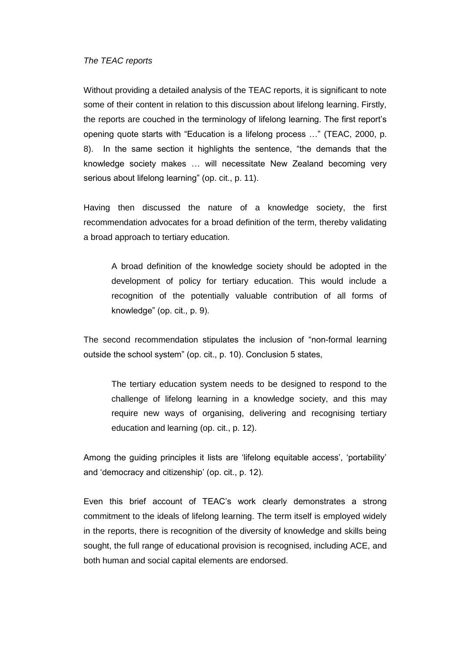#### *The TEAC reports*

Without providing a detailed analysis of the TEAC reports, it is significant to note some of their content in relation to this discussion about lifelong learning. Firstly, the reports are couched in the terminology of lifelong learning. The first report's opening quote starts with "Education is a lifelong process …" (TEAC, 2000, p. 8). In the same section it highlights the sentence, "the demands that the knowledge society makes … will necessitate New Zealand becoming very serious about lifelong learning" (op. cit., p. 11).

Having then discussed the nature of a knowledge society, the first recommendation advocates for a broad definition of the term, thereby validating a broad approach to tertiary education.

A broad definition of the knowledge society should be adopted in the development of policy for tertiary education. This would include a recognition of the potentially valuable contribution of all forms of knowledge" (op. cit., p. 9).

The second recommendation stipulates the inclusion of "non-formal learning outside the school system" (op. cit., p. 10). Conclusion 5 states,

The tertiary education system needs to be designed to respond to the challenge of lifelong learning in a knowledge society, and this may require new ways of organising, delivering and recognising tertiary education and learning (op. cit., p. 12).

Among the guiding principles it lists are 'lifelong equitable access', 'portability' and 'democracy and citizenship' (op. cit., p. 12).

Even this brief account of TEAC's work clearly demonstrates a strong commitment to the ideals of lifelong learning. The term itself is employed widely in the reports, there is recognition of the diversity of knowledge and skills being sought, the full range of educational provision is recognised, including ACE, and both human and social capital elements are endorsed.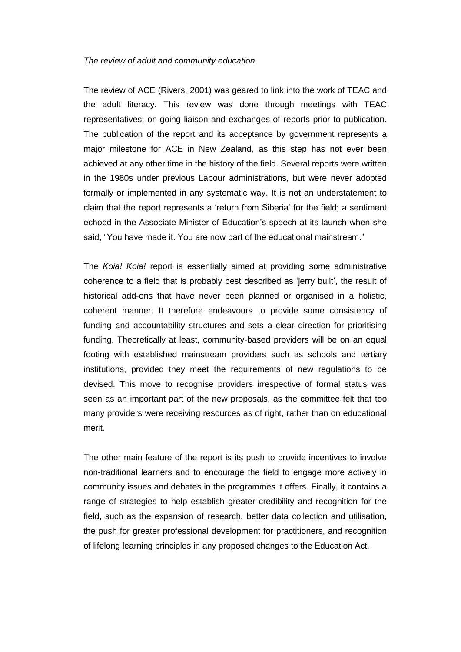#### *The review of adult and community education*

The review of ACE (Rivers, 2001) was geared to link into the work of TEAC and the adult literacy. This review was done through meetings with TEAC representatives, on-going liaison and exchanges of reports prior to publication. The publication of the report and its acceptance by government represents a major milestone for ACE in New Zealand, as this step has not ever been achieved at any other time in the history of the field. Several reports were written in the 1980s under previous Labour administrations, but were never adopted formally or implemented in any systematic way. It is not an understatement to claim that the report represents a 'return from Siberia' for the field; a sentiment echoed in the Associate Minister of Education's speech at its launch when she said, "You have made it. You are now part of the educational mainstream."

The *Koia! Koia!* report is essentially aimed at providing some administrative coherence to a field that is probably best described as 'jerry built', the result of historical add-ons that have never been planned or organised in a holistic, coherent manner. It therefore endeavours to provide some consistency of funding and accountability structures and sets a clear direction for prioritising funding. Theoretically at least, community-based providers will be on an equal footing with established mainstream providers such as schools and tertiary institutions, provided they meet the requirements of new regulations to be devised. This move to recognise providers irrespective of formal status was seen as an important part of the new proposals, as the committee felt that too many providers were receiving resources as of right, rather than on educational merit.

The other main feature of the report is its push to provide incentives to involve non-traditional learners and to encourage the field to engage more actively in community issues and debates in the programmes it offers. Finally, it contains a range of strategies to help establish greater credibility and recognition for the field, such as the expansion of research, better data collection and utilisation, the push for greater professional development for practitioners, and recognition of lifelong learning principles in any proposed changes to the Education Act.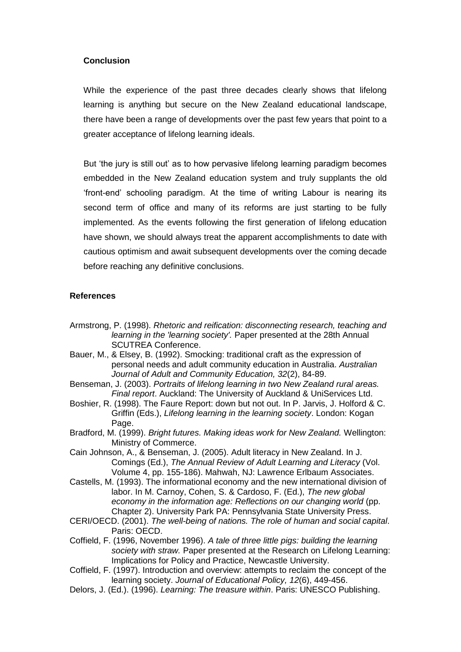## **Conclusion**

While the experience of the past three decades clearly shows that lifelong learning is anything but secure on the New Zealand educational landscape, there have been a range of developments over the past few years that point to a greater acceptance of lifelong learning ideals.

But 'the jury is still out' as to how pervasive lifelong learning paradigm becomes embedded in the New Zealand education system and truly supplants the old 'front-end' schooling paradigm. At the time of writing Labour is nearing its second term of office and many of its reforms are just starting to be fully implemented. As the events following the first generation of lifelong education have shown, we should always treat the apparent accomplishments to date with cautious optimism and await subsequent developments over the coming decade before reaching any definitive conclusions.

## **References**

- Armstrong, P. (1998). *Rhetoric and reification: disconnecting research, teaching and learning in the 'learning society'.* Paper presented at the 28th Annual SCUTREA Conference.
- Bauer, M., & Elsey, B. (1992). Smocking: traditional craft as the expression of personal needs and adult community education in Australia. *Australian Journal of Adult and Community Education, 32*(2), 84-89.
- Benseman, J. (2003). *Portraits of lifelong learning in two New Zealand rural areas. Final report*. Auckland: The University of Auckland & UniServices Ltd.
- Boshier, R. (1998). The Faure Report: down but not out. In P. Jarvis, J. Holford & C. Griffin (Eds.), *Lifelong learning in the learning society*. London: Kogan Page.
- Bradford, M. (1999). *Bright futures. Making ideas work for New Zealand.* Wellington: Ministry of Commerce.
- Cain Johnson, A., & Benseman, J. (2005). Adult literacy in New Zealand. In J. Comings (Ed.), *The Annual Review of Adult Learning and Literacy* (Vol. Volume 4, pp. 155-186). Mahwah, NJ: Lawrence Erlbaum Associates.
- Castells, M. (1993). The informational economy and the new international division of labor. In M. Carnoy, Cohen, S. & Cardoso, F. (Ed.), *The new global economy in the information age: Reflections on our changing world* (pp. Chapter 2). University Park PA: Pennsylvania State University Press.
- CERI/OECD. (2001). *The well-being of nations. The role of human and social capital*. Paris: OECD.
- Coffield, F. (1996, November 1996). *A tale of three little pigs: building the learning society with straw.* Paper presented at the Research on Lifelong Learning: Implications for Policy and Practice, Newcastle University.
- Coffield, F. (1997). Introduction and overview: attempts to reclaim the concept of the learning society. *Journal of Educational Policy, 12*(6), 449-456.
- Delors, J. (Ed.). (1996). *Learning: The treasure within*. Paris: UNESCO Publishing.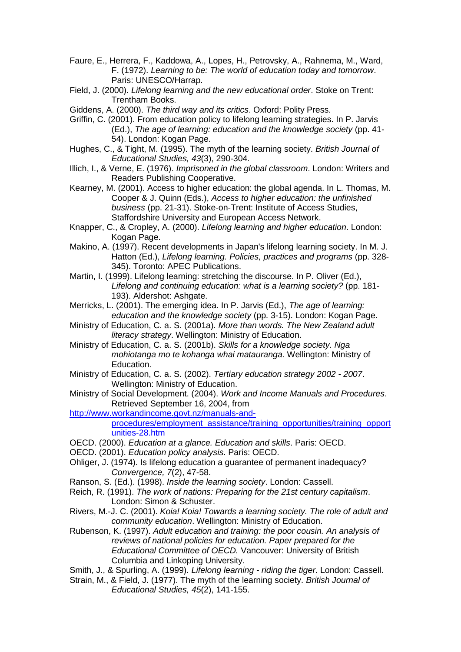- Faure, E., Herrera, F., Kaddowa, A., Lopes, H., Petrovsky, A., Rahnema, M., Ward, F. (1972). *Learning to be: The world of education today and tomorrow*. Paris: UNESCO/Harrap.
- Field, J. (2000). *Lifelong learning and the new educational order*. Stoke on Trent: Trentham Books.
- Giddens, A. (2000). *The third way and its critics*. Oxford: Polity Press.
- Griffin, C. (2001). From education policy to lifelong learning strategies. In P. Jarvis (Ed.), *The age of learning: education and the knowledge society* (pp. 41- 54). London: Kogan Page.
- Hughes, C., & Tight, M. (1995). The myth of the learning society. *British Journal of Educational Studies, 43*(3), 290-304.
- Illich, I., & Verne, E. (1976). *Imprisoned in the global classroom*. London: Writers and Readers Publishing Cooperative.
- Kearney, M. (2001). Access to higher education: the global agenda. In L. Thomas, M. Cooper & J. Quinn (Eds.), *Access to higher education: the unfinished business* (pp. 21-31). Stoke-on-Trent: Institute of Access Studies, Staffordshire University and European Access Network.
- Knapper, C., & Cropley, A. (2000). *Lifelong learning and higher education*. London: Kogan Page.
- Makino, A. (1997). Recent developments in Japan's lifelong learning society. In M. J. Hatton (Ed.), *Lifelong learning. Policies, practices and programs* (pp. 328- 345). Toronto: APEC Publications.
- Martin, I. (1999). Lifelong learning: stretching the discourse. In P. Oliver (Ed.), *Lifelong and continuing education: what is a learning society?* (pp. 181- 193). Aldershot: Ashgate.
- Merricks, L. (2001). The emerging idea. In P. Jarvis (Ed.), *The age of learning: education and the knowledge society* (pp. 3-15). London: Kogan Page.
- Ministry of Education, C. a. S. (2001a). *More than words. The New Zealand adult literacy strategy*. Wellington: Ministry of Education.
- Ministry of Education, C. a. S. (2001b). *Skills for a knowledge society. Nga mohiotanga mo te kohanga whai matauranga*. Wellington: Ministry of Education.
- Ministry of Education, C. a. S. (2002). *Tertiary education strategy 2002 - 2007*. Wellington: Ministry of Education.
- Ministry of Social Development. (2004). *Work and Income Manuals and Procedures*. Retrieved September 16, 2004, from
- [http://www.workandincome.govt.nz/manuals-and-](http://www.workandincome.govt.nz/manuals-and-procedures/employment_assistance/training_opportunities/training_opportunities-28.htm)

[procedures/employment\\_assistance/training\\_opportunities/training\\_opport](http://www.workandincome.govt.nz/manuals-and-procedures/employment_assistance/training_opportunities/training_opportunities-28.htm) [unities-28.htm](http://www.workandincome.govt.nz/manuals-and-procedures/employment_assistance/training_opportunities/training_opportunities-28.htm)

- OECD. (2000). *Education at a glance. Education and skills*. Paris: OECD.
- OECD. (2001). *Education policy analysis*. Paris: OECD.
- Ohliger, J. (1974). Is lifelong education a guarantee of permanent inadequacy? *Convergence, 7*(2), 47-58.
- Ranson, S. (Ed.). (1998). *Inside the learning society*. London: Cassell.
- Reich, R. (1991). *The work of nations: Preparing for the 21st century capitalism*. London: Simon & Schuster.
- Rivers, M.-J. C. (2001). *Koia! Koia! Towards a learning society. The role of adult and community education*. Wellington: Ministry of Education.
- Rubenson, K. (1997). *Adult education and training: the poor cousin. An analysis of reviews of national policies for education. Paper prepared for the Educational Committee of OECD.* Vancouver: University of British Columbia and Linkoping University.
- Smith, J., & Spurling, A. (1999). *Lifelong learning - riding the tiger*. London: Cassell.
- Strain, M., & Field, J. (1977). The myth of the learning society. *British Journal of Educational Studies, 45*(2), 141-155.